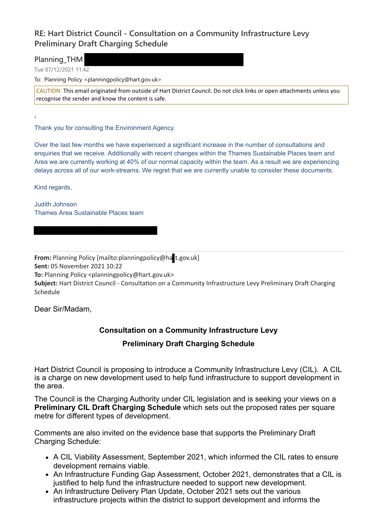## **RE: Hart District Council - Consultation on a Community Infrastructure Levy Preliminary Draft Charging Schedule**

Planning\_THM

Tue 07/12/2021 11:42

To: Planning Policy <planningpolicy@hart.gov.uk>

CAUTION: This email originated from outside of Hart District Council. Do not click links or open attachments unless you recognise the sender and know the content is safe.

Thank you for consulting the Environment Agency.

Over the last few months we have experienced a significant increase in the number of consultations and enquiries that we receive. Additionally with recent changes within the Thames Sustainable Places team and Area we are currently working at 40% of our normal capacity within the team. As a result we are experiencing delays across all of our work-streams. We regret that we are currently unable to consider these documents.

Kind regards,

'

Judith Johnson Thames Area Sustainable Places team

**From:** Planning Policy [mailto:planningpolicy@ha t.gov.uk] **Sent:** 05 November 2021 10:22 **To:** Planning Policy <planningpolicy@hart.gov.uk> **Subject:** Hart District Council - Consultation on a Community Infrastructure Levy Preliminary Draft Charging Schedule

Dear Sir/Madam,

## **Consultation on a Community Infrastructure Levy**

**Preliminary Draft Charging Schedule**

Hart District Council is proposing to introduce a Community Infrastructure Levy (CIL). A CIL is a charge on new development used to help fund infrastructure to support development in the area.

The Council is the Charging Authority under CIL legislation and is seeking your views on a **Preliminary CIL Draft Charging Schedule** which sets out the proposed rates per square metre for different types of development.

Comments are also invited on the evidence base that supports the Preliminary Draft Charging Schedule:

- A CIL Viability Assessment, September 2021, which informed the CIL rates to ensure development remains viable.
- An Infrastructure Funding Gap Assessment, October 2021, demonstrates that a CIL is justified to help fund the infrastructure needed to support new development.
- An Infrastructure Delivery Plan Update, October 2021 sets out the various infrastructure projects within the district to support development and informs the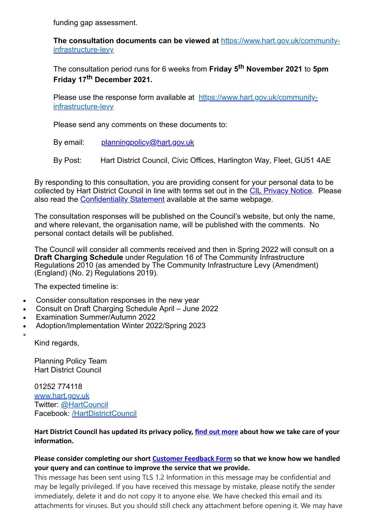funding gap assessment.

**The consultation documents can be viewed at** https://www.hart.gov.uk/communityinfrastructure-levy

The consultation period runs for 6 weeks from **Friday 5th November 2021** to **5pm Friday 17th December 2021.**

Please use the response form available at https://www.hart.gov.uk/communityinfrastructure-levy

Please send any comments on these documents to:

- By email: planningpolicy@hart.gov.uk
- By Post: Hart District Council, Civic Offices, Harlington Way, Fleet, GU51 4AE

By responding to this consultation, you are providing consent for your personal data to be collected by Hart District Council in line with terms set out in the CIL Privacy Notice. Please also read the Confidentiality Statement available at the same webpage.

The consultation responses will be published on the Council's website, but only the name, and where relevant, the organisation name, will be published with the comments. No personal contact details will be published.

The Council will consider all comments received and then in Spring 2022 will consult on a **Draft Charging Schedule** under Regulation 16 of The Community Infrastructure Regulations 2010 (as amended by The Community Infrastructure Levy (Amendment) (England) (No. 2) Regulations 2019).

The expected timeline is:

- Consider consultation responses in the new year
- · Consult on Draft Charging Schedule April June 2022
- Examination Summer/Autumn 2022
- · Adoption/Implementation Winter 2022/Spring 2023
- ·

Kind regards,

Planning Policy Team Hart District Council

01252 774118 www.hart.gov.uk Twitter: @HartCouncil Facebook: /HartDistrictCouncil

**Hart District Council has updated its privacy policy, find out more about how we take care of your information.**

## **Please consider completing our short Customer Feedback Form so that we know how we handled your query and can continue to improve the service that we provide.**

This message has been sent using TLS 1.2 Information in this message may be confidential and may be legally privileged. If you have received this message by mistake, please notify the sender immediately, delete it and do not copy it to anyone else. We have checked this email and its attachments for viruses. But you should still check any attachment before opening it. We may have